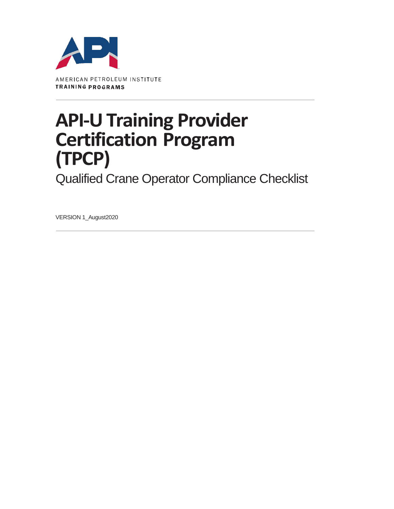

## **API-U Training Provider Certification Program (TPCP)**

Qualified Crane Operator Compliance Checklist

VERSION 1\_August2020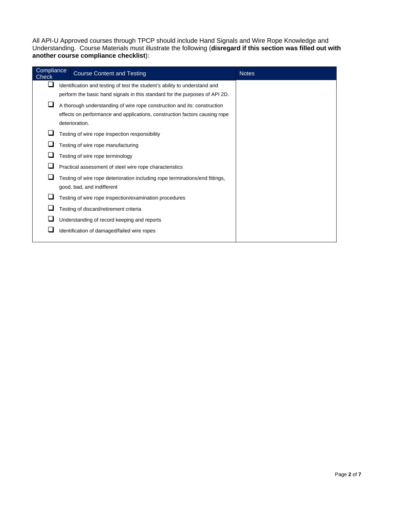All API-U Approved courses through TPCP should include Hand Signals and Wire Rope Knowledge and Understanding. Course Materials must illustrate the following (**disregard if this section was filled out with another course compliance checklist**):

| Compliance<br>Check | <b>Course Content and Testing</b>                                            | <b>Notes</b> |
|---------------------|------------------------------------------------------------------------------|--------------|
|                     | Identification and testing of test the student's ability to understand and   |              |
|                     | perform the basic hand signals in this standard for the purposes of API 2D.  |              |
|                     | A thorough understanding of wire rope construction and its: construction     |              |
|                     | effects on performance and applications, construction factors causing rope   |              |
|                     | deterioration.                                                               |              |
|                     | Testing of wire rope inspection responsibility                               |              |
|                     | Testing of wire rope manufacturing                                           |              |
|                     | Testing of wire rope terminology                                             |              |
|                     | Practical assessment of steel wire rope characteristics                      |              |
|                     | Testing of wire rope deterioration including rope terminations/end fittings, |              |
|                     | good, bad, and indifferent                                                   |              |
|                     | Testing of wire rope inspection/examination procedures                       |              |
|                     | Testing of discard/retirement criteria                                       |              |
|                     | Understanding of record keeping and reports                                  |              |
|                     | Identification of damaged/failed wire ropes                                  |              |
|                     |                                                                              |              |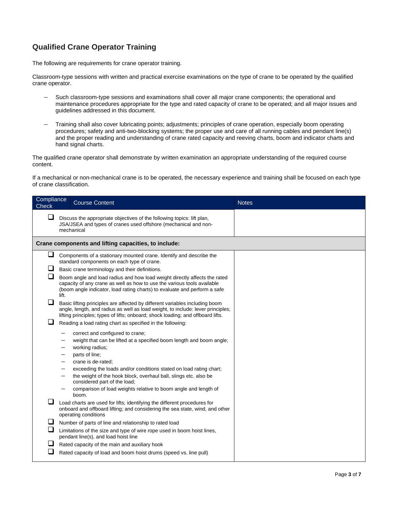## **Qualified Crane Operator Training**

The following are requirements for crane operator training.

Classroom-type sessions with written and practical exercise examinations on the type of crane to be operated by the qualified crane operator.

- Such classroom-type sessions and examinations shall cover all major crane components; the operational and maintenance procedures appropriate for the type and rated capacity of crane to be operated; and all major issues and guidelines addressed in this document.
- Training shall also cover lubricating points; adjustments; principles of crane operation, especially boom operating procedures; safety and anti-two-blocking systems; the proper use and care of all running cables and pendant line(s) and the proper reading and understanding of crane rated capacity and reeving charts, boom and indicator charts and hand signal charts.

The qualified crane operator shall demonstrate by written examination an appropriate understanding of the required course content.

If a mechanical or non-mechanical crane is to be operated, the necessary experience and training shall be focused on each type of crane classification.

| Compliance<br>Check        |       | <b>Course Content</b>                                                                                                                                                                                                                                                                                                                                                                                                                                                                                                                                                                                                                                                                                                                                                                                                                                                                                                                                                                                                                                                                                                                                                                                                                                                                                                | <b>Notes</b> |
|----------------------------|-------|----------------------------------------------------------------------------------------------------------------------------------------------------------------------------------------------------------------------------------------------------------------------------------------------------------------------------------------------------------------------------------------------------------------------------------------------------------------------------------------------------------------------------------------------------------------------------------------------------------------------------------------------------------------------------------------------------------------------------------------------------------------------------------------------------------------------------------------------------------------------------------------------------------------------------------------------------------------------------------------------------------------------------------------------------------------------------------------------------------------------------------------------------------------------------------------------------------------------------------------------------------------------------------------------------------------------|--------------|
| ❏                          |       | Discuss the appropriate objectives of the following topics: lift plan,<br>JSA/JSEA and types of cranes used offshore (mechanical and non-<br>mechanical                                                                                                                                                                                                                                                                                                                                                                                                                                                                                                                                                                                                                                                                                                                                                                                                                                                                                                                                                                                                                                                                                                                                                              |              |
|                            |       | Crane components and lifting capacities, to include:                                                                                                                                                                                                                                                                                                                                                                                                                                                                                                                                                                                                                                                                                                                                                                                                                                                                                                                                                                                                                                                                                                                                                                                                                                                                 |              |
| ⊔<br>⊔<br>ப<br>ப<br>⊔<br>⊔ | lift. | Components of a stationary mounted crane. Identify and describe the<br>standard components on each type of crane.<br>Basic crane terminology and their definitions.<br>Boom angle and load radius and how load weight directly affects the rated<br>capacity of any crane as well as how to use the various tools available<br>(boom angle indicator, load rating charts) to evaluate and perform a safe<br>Basic lifting principles are affected by different variables including boom<br>angle, length, and radius as well as load weight, to include: lever principles;<br>lifting principles; types of lifts; onboard; shock loading; and offboard lifts.<br>Reading a load rating chart as specified in the following:<br>correct and configured to crane;<br>weight that can be lifted at a specified boom length and boom angle;<br>working radius;<br>parts of line;<br>crane is de-rated;<br>exceeding the loads and/or conditions stated on load rating chart;<br>the weight of the hook block, overhaul ball, slings etc. also be<br>considered part of the load;<br>comparison of load weights relative to boom angle and length of<br>boom.<br>Load charts are used for lifts; identifying the different procedures for<br>onboard and offboard lifting; and considering the sea state, wind, and other |              |
| ⊔<br>❏<br>⊔                |       | Number of parts of line and relationship to rated load<br>Limitations of the size and type of wire rope used in boom hoist lines,<br>pendant line(s), and load hoist line<br>Rated capacity of the main and auxiliary hook<br>Rated capacity of load and boom hoist drums (speed vs. line pull)                                                                                                                                                                                                                                                                                                                                                                                                                                                                                                                                                                                                                                                                                                                                                                                                                                                                                                                                                                                                                      |              |
|                            |       | operating conditions                                                                                                                                                                                                                                                                                                                                                                                                                                                                                                                                                                                                                                                                                                                                                                                                                                                                                                                                                                                                                                                                                                                                                                                                                                                                                                 |              |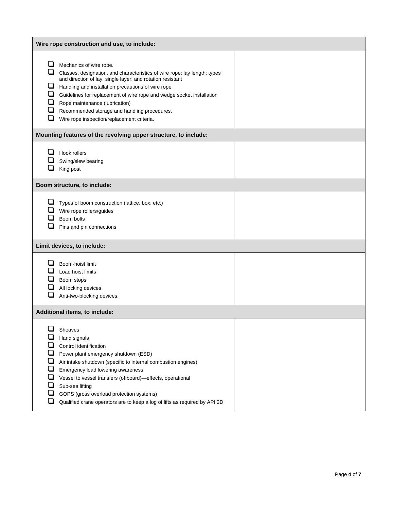|                                                             | Wire rope construction and use, to include:                                                                                                                                                                                                                                                                                                                                                                                       |  |  |
|-------------------------------------------------------------|-----------------------------------------------------------------------------------------------------------------------------------------------------------------------------------------------------------------------------------------------------------------------------------------------------------------------------------------------------------------------------------------------------------------------------------|--|--|
| ப<br>ப<br>ப<br>⊔<br>⊔<br>$\Box$<br>$\Box$                   | Mechanics of wire rope.<br>Classes, designation, and characteristics of wire rope: lay length; types<br>and direction of lay; single layer; and rotation resistant<br>Handling and installation precautions of wire rope<br>Guidelines for replacement of wire rope and wedge socket installation<br>Rope maintenance (lubrication)<br>Recommended storage and handling procedures.<br>Wire rope inspection/replacement criteria. |  |  |
|                                                             | Mounting features of the revolving upper structure, to include:                                                                                                                                                                                                                                                                                                                                                                   |  |  |
| ப                                                           | Hook rollers<br>Swing/slew bearing<br>King post                                                                                                                                                                                                                                                                                                                                                                                   |  |  |
|                                                             | Boom structure, to include:                                                                                                                                                                                                                                                                                                                                                                                                       |  |  |
| ⊔                                                           | Types of boom construction (lattice, box, etc.)<br>Wire rope rollers/guides<br>Boom bolts<br>Pins and pin connections                                                                                                                                                                                                                                                                                                             |  |  |
|                                                             | Limit devices, to include:                                                                                                                                                                                                                                                                                                                                                                                                        |  |  |
| ப                                                           | Boom-hoist limit<br>Load hoist limits<br>Boom stops<br>All locking devices<br>Anti-two-blocking devices.                                                                                                                                                                                                                                                                                                                          |  |  |
|                                                             | Additional items, to include:                                                                                                                                                                                                                                                                                                                                                                                                     |  |  |
| ⊔<br>⊔<br>⊔<br>$\Box$<br>❏<br>ப<br>$\overline{\phantom{a}}$ | Sheaves<br>Hand signals<br>Control identification<br>Power plant emergency shutdown (ESD)<br>Air intake shutdown (specific to internal combustion engines)<br>Emergency load lowering awareness<br>Vessel to vessel transfers (offboard)-effects, operational<br>Sub-sea lifting<br>GOPS (gross overload protection systems)<br>Qualified crane operators are to keep a log of lifts as required by API 2D                        |  |  |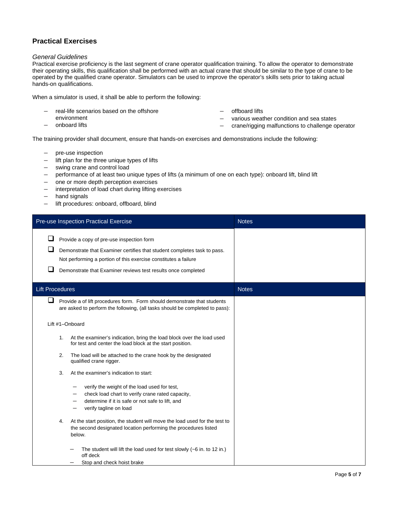## **Practical Exercises**

## *General Guidelines*

Practical exercise proficiency is the last segment of crane operator qualification training. To allow the operator to demonstrate their operating skills, this qualification shall be performed with an actual crane that should be similar to the type of crane to be operated by the qualified crane operator. Simulators can be used to improve the operator's skills sets prior to taking actual hands-on qualifications.

When a simulator is used, it shall be able to perform the following:

- real-life scenarios based on the offshore
- environment
- onboard lifts
- offboard lifts
- various weather condition and sea states
- crane/rigging malfunctions to challenge operator

The training provider shall document, ensure that hands-on exercises and demonstrations include the following:

- pre-use inspection
- lift plan for the three unique types of lifts
- swing crane and control load
- performance of at least two unique types of lifts (a minimum of one on each type): onboard lift, blind lift
- one or more depth perception exercises
- interpretation of load chart during lifting exercises
- hand signals
- lift procedures: onboard, offboard, blind

| Pre-use Inspection Practical Exercise |                                                                                                                                                                                                                                                           | <b>Notes</b> |
|---------------------------------------|-----------------------------------------------------------------------------------------------------------------------------------------------------------------------------------------------------------------------------------------------------------|--------------|
| ப                                     | Provide a copy of pre-use inspection form<br>Demonstrate that Examiner certifies that student completes task to pass.<br>Not performing a portion of this exercise constitutes a failure<br>Demonstrate that Examiner reviews test results once completed |              |
| <b>Lift Procedures</b>                |                                                                                                                                                                                                                                                           | <b>Notes</b> |
| ⊔                                     | Provide a of lift procedures form. Form should demonstrate that students<br>are asked to perform the following, (all tasks should be completed to pass):                                                                                                  |              |
|                                       | Lift #1-Onboard                                                                                                                                                                                                                                           |              |
|                                       | At the examiner's indication, bring the load block over the load used<br>1.<br>for test and center the load block at the start position.                                                                                                                  |              |
|                                       | The load will be attached to the crane hook by the designated<br>2.<br>qualified crane rigger.                                                                                                                                                            |              |
|                                       | 3.<br>At the examiner's indication to start:                                                                                                                                                                                                              |              |
|                                       | verify the weight of the load used for test,<br>check load chart to verify crane rated capacity,<br>$\qquad \qquad$<br>determine if it is safe or not safe to lift, and<br>verify tagline on load<br>-                                                    |              |
|                                       | At the start position, the student will move the load used for the test to<br>4.<br>the second designated location performing the procedures listed<br>below.                                                                                             |              |
|                                       | The student will lift the load used for test slowly $(-6$ in. to 12 in.)<br>off deck<br>Stop and check hoist brake                                                                                                                                        |              |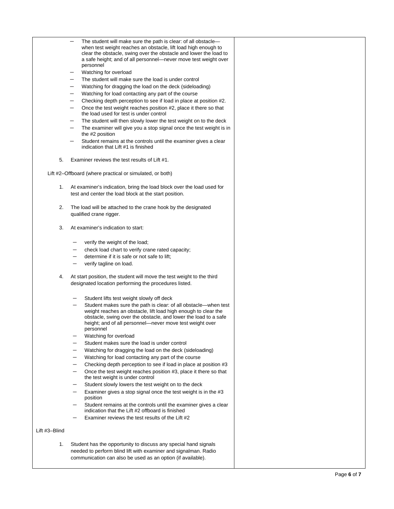|               | The student will make sure the path is clear: of all obstacle—<br>when test weight reaches an obstacle, lift load high enough to     |  |
|---------------|--------------------------------------------------------------------------------------------------------------------------------------|--|
|               | clear the obstacle, swing over the obstacle and lower the load to<br>a safe height; and of all personnel-never move test weight over |  |
|               | personnel                                                                                                                            |  |
|               | Watching for overload<br>The student will make sure the load is under control                                                        |  |
|               | Watching for dragging the load on the deck (sideloading)                                                                             |  |
|               | Watching for load contacting any part of the course                                                                                  |  |
|               | Checking depth perception to see if load in place at position #2.                                                                    |  |
|               | Once the test weight reaches position #2, place it there so that                                                                     |  |
|               | the load used for test is under control                                                                                              |  |
|               | The student will then slowly lower the test weight on to the deck<br>-                                                               |  |
|               | The examiner will give you a stop signal once the test weight is in<br>the #2 position                                               |  |
|               | Student remains at the controls until the examiner gives a clear<br>indication that Lift #1 is finished                              |  |
| 5.            | Examiner reviews the test results of Lift #1.                                                                                        |  |
|               | Lift #2–Offboard (where practical or simulated, or both)                                                                             |  |
| 1.            | At examiner's indication, bring the load block over the load used for                                                                |  |
|               | test and center the load block at the start position.                                                                                |  |
| 2.            | The load will be attached to the crane hook by the designated                                                                        |  |
|               | qualified crane rigger.                                                                                                              |  |
| 3.            | At examiner's indication to start:                                                                                                   |  |
|               |                                                                                                                                      |  |
|               | verify the weight of the load;<br>check load chart to verify crane rated capacity;                                                   |  |
|               | determine if it is safe or not safe to lift;                                                                                         |  |
|               | verify tagline on load.                                                                                                              |  |
|               |                                                                                                                                      |  |
| 4.            | At start position, the student will move the test weight to the third                                                                |  |
|               | designated location performing the procedures listed.                                                                                |  |
|               | Student lifts test weight slowly off deck                                                                                            |  |
|               | Student makes sure the path is clear: of all obstacle-when test                                                                      |  |
|               | weight reaches an obstacle, lift load high enough to clear the                                                                       |  |
|               | obstacle, swing over the obstacle, and lower the load to a safe                                                                      |  |
|               | height; and of all personnel-never move test weight over                                                                             |  |
|               | personnel                                                                                                                            |  |
|               | Watching for overload                                                                                                                |  |
|               | Student makes sure the load is under control                                                                                         |  |
|               | Watching for dragging the load on the deck (sideloading)                                                                             |  |
|               | Watching for load contacting any part of the course                                                                                  |  |
|               | Checking depth perception to see if load in place at position #3                                                                     |  |
|               | Once the test weight reaches position #3, place it there so that<br>the test weight is under control                                 |  |
|               | Student slowly lowers the test weight on to the deck                                                                                 |  |
|               | Examiner gives a stop signal once the test weight is in the #3                                                                       |  |
|               | position                                                                                                                             |  |
|               | Student remains at the controls until the examiner gives a clear                                                                     |  |
|               | indication that the Lift #2 offboard is finished<br>Examiner reviews the test results of the Lift #2                                 |  |
| Lift #3-Blind |                                                                                                                                      |  |
|               |                                                                                                                                      |  |
| 1.            | Student has the opportunity to discuss any special hand signals                                                                      |  |
|               | needed to perform blind lift with examiner and signalman. Radio<br>communication can also be used as an option (if available).       |  |